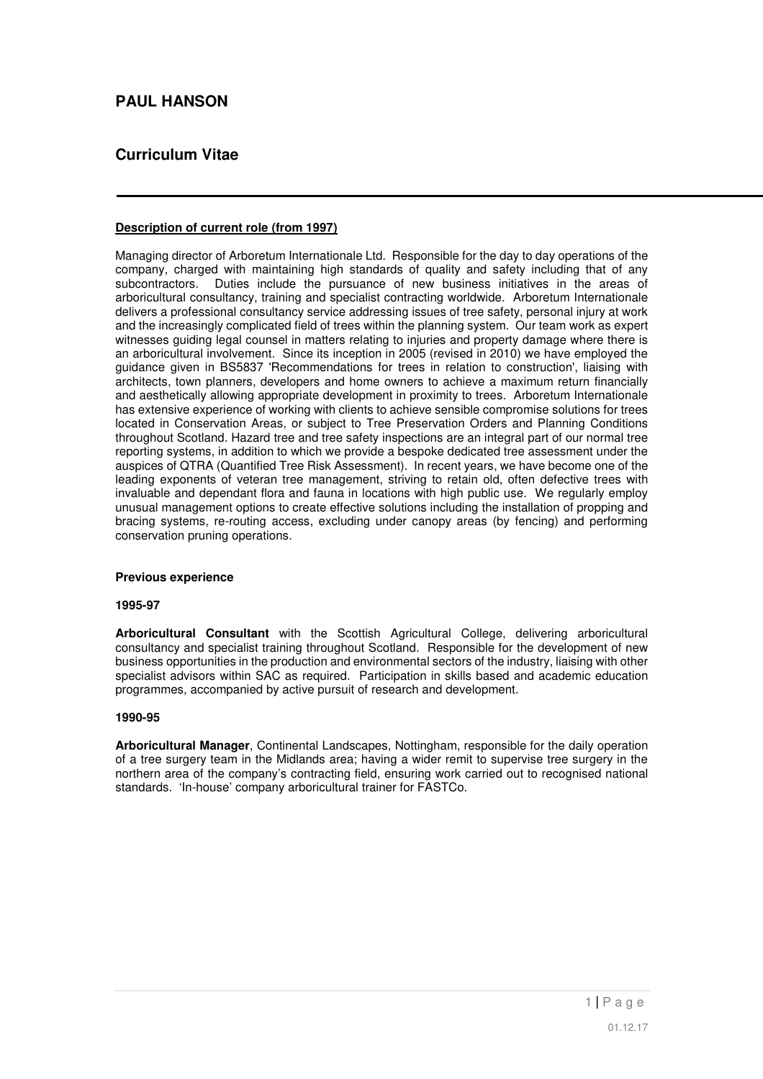# **PAUL HANSON**

# **Curriculum Vitae**

### **Description of current role (from 1997)**

Managing director of Arboretum Internationale Ltd. Responsible for the day to day operations of the company, charged with maintaining high standards of quality and safety including that of any subcontractors. Duties include the pursuance of new business initiatives in the areas of arboricultural consultancy, training and specialist contracting worldwide. Arboretum Internationale delivers a professional consultancy service addressing issues of tree safety, personal injury at work and the increasingly complicated field of trees within the planning system. Our team work as expert witnesses guiding legal counsel in matters relating to injuries and property damage where there is an arboricultural involvement. Since its inception in 2005 (revised in 2010) we have employed the guidance given in BS5837 'Recommendations for trees in relation to construction', liaising with architects, town planners, developers and home owners to achieve a maximum return financially and aesthetically allowing appropriate development in proximity to trees. Arboretum Internationale has extensive experience of working with clients to achieve sensible compromise solutions for trees located in Conservation Areas, or subject to Tree Preservation Orders and Planning Conditions throughout Scotland. Hazard tree and tree safety inspections are an integral part of our normal tree reporting systems, in addition to which we provide a bespoke dedicated tree assessment under the auspices of QTRA (Quantified Tree Risk Assessment). In recent years, we have become one of the leading exponents of veteran tree management, striving to retain old, often defective trees with invaluable and dependant flora and fauna in locations with high public use. We regularly employ unusual management options to create effective solutions including the installation of propping and bracing systems, re-routing access, excluding under canopy areas (by fencing) and performing conservation pruning operations.

#### **Previous experience**

#### **1995-97**

**Arboricultural Consultant** with the Scottish Agricultural College, delivering arboricultural consultancy and specialist training throughout Scotland. Responsible for the development of new business opportunities in the production and environmental sectors of the industry, liaising with other specialist advisors within SAC as required. Participation in skills based and academic education programmes, accompanied by active pursuit of research and development.

#### **1990-95**

**Arboricultural Manager**, Continental Landscapes, Nottingham, responsible for the daily operation of a tree surgery team in the Midlands area; having a wider remit to supervise tree surgery in the northern area of the company's contracting field, ensuring work carried out to recognised national standards. 'In-house' company arboricultural trainer for FASTCo.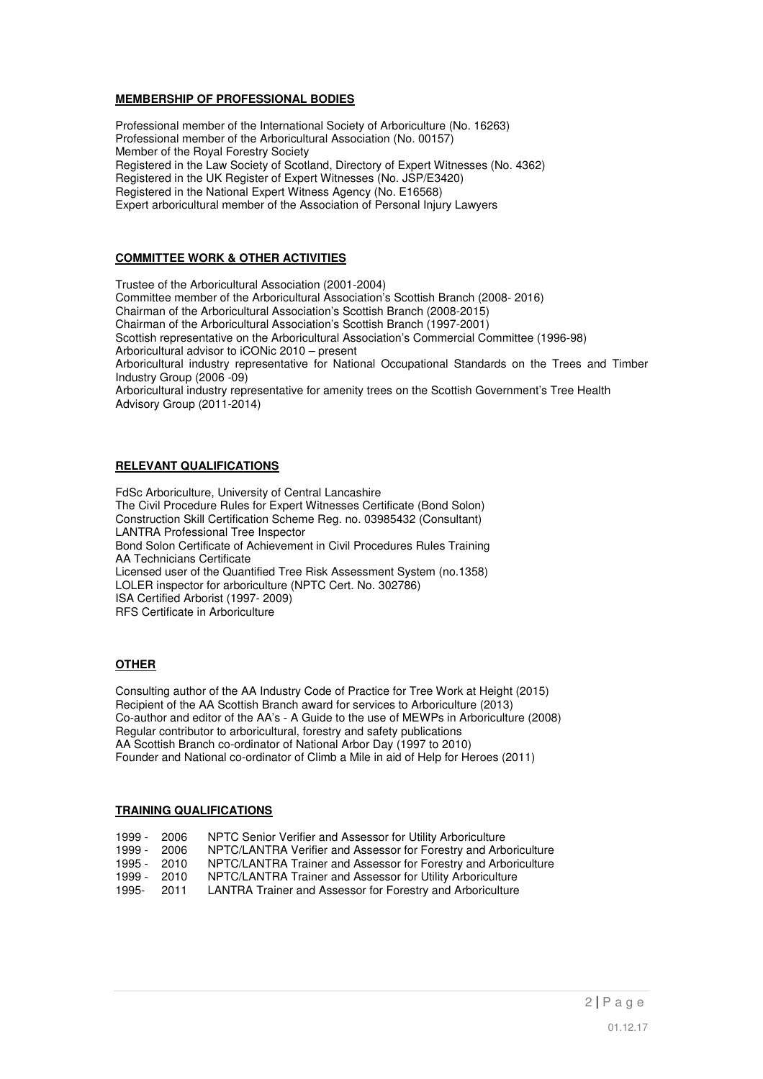#### **MEMBERSHIP OF PROFESSIONAL BODIES**

Professional member of the International Society of Arboriculture (No. 16263) Professional member of the Arboricultural Association (No. 00157) Member of the Royal Forestry Society Registered in the Law Society of Scotland, Directory of Expert Witnesses (No. 4362) Registered in the UK Register of Expert Witnesses (No. JSP/E3420) Registered in the National Expert Witness Agency (No. E16568) Expert arboricultural member of the Association of Personal Injury Lawyers

## **COMMITTEE WORK & OTHER ACTIVITIES**

Trustee of the Arboricultural Association (2001-2004) Committee member of the Arboricultural Association's Scottish Branch (2008- 2016) Chairman of the Arboricultural Association's Scottish Branch (2008-2015) Chairman of the Arboricultural Association's Scottish Branch (1997-2001) Scottish representative on the Arboricultural Association's Commercial Committee (1996-98) Arboricultural advisor to iCONic 2010 – present Arboricultural industry representative for National Occupational Standards on the Trees and Timber Industry Group (2006 -09) Arboricultural industry representative for amenity trees on the Scottish Government's Tree Health Advisory Group (2011-2014)

#### **RELEVANT QUALIFICATIONS**

FdSc Arboriculture, University of Central Lancashire The Civil Procedure Rules for Expert Witnesses Certificate (Bond Solon) Construction Skill Certification Scheme Reg. no. 03985432 (Consultant) LANTRA Professional Tree Inspector Bond Solon Certificate of Achievement in Civil Procedures Rules Training AA Technicians Certificate Licensed user of the Quantified Tree Risk Assessment System (no.1358) LOLER inspector for arboriculture (NPTC Cert. No. 302786) ISA Certified Arborist (1997- 2009) RFS Certificate in Arboriculture

## **OTHER**

Consulting author of the AA Industry Code of Practice for Tree Work at Height (2015) Recipient of the AA Scottish Branch award for services to Arboriculture (2013) Co-author and editor of the AA's - A Guide to the use of MEWPs in Arboriculture (2008) Regular contributor to arboricultural, forestry and safety publications AA Scottish Branch co-ordinator of National Arbor Day (1997 to 2010) Founder and National co-ordinator of Climb a Mile in aid of Help for Heroes (2011)

#### **TRAINING QUALIFICATIONS**

| 1999 - | 2006 | NPTC Senior Verifier and Assessor for Utility Arboriculture      |
|--------|------|------------------------------------------------------------------|
| 1999 - | 2006 | NPTC/LANTRA Verifier and Assessor for Forestry and Arboriculture |
| 1995 - | 2010 | NPTC/LANTRA Trainer and Assessor for Forestry and Arboriculture  |
| 1999 - | 2010 | NPTC/LANTRA Trainer and Assessor for Utility Arboriculture       |
| 1995-  | 2011 | LANTRA Trainer and Assessor for Forestry and Arboriculture       |
|        |      |                                                                  |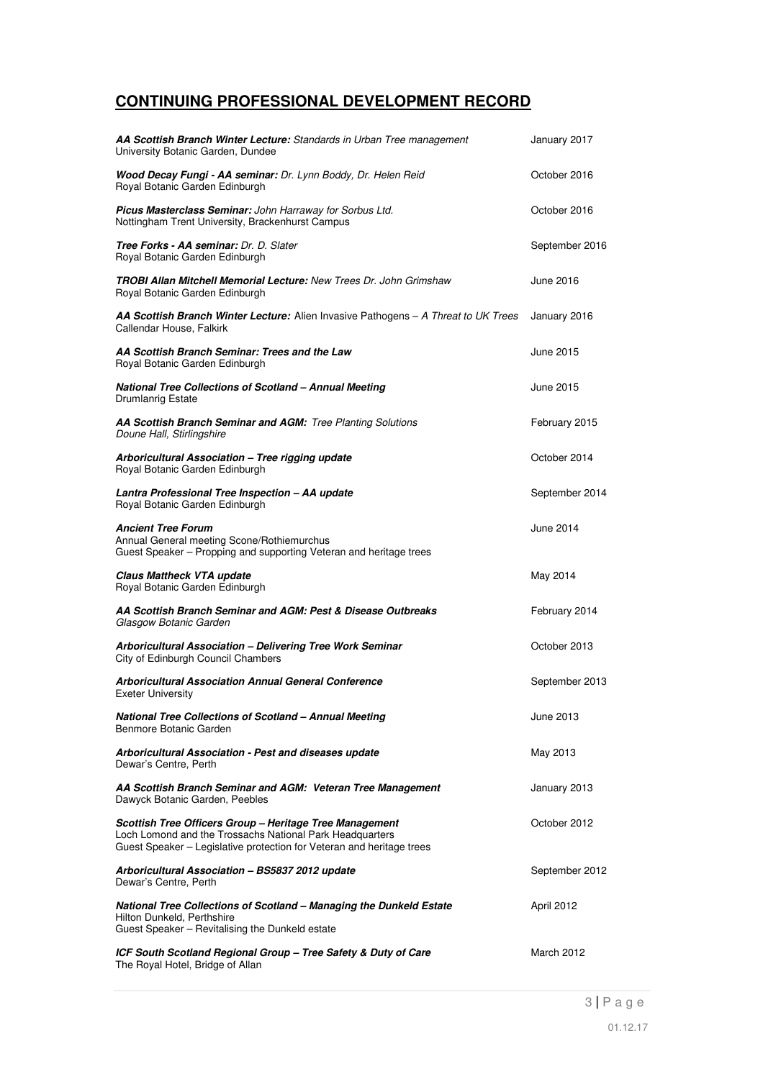# **CONTINUING PROFESSIONAL DEVELOPMENT RECORD**

| AA Scottish Branch Winter Lecture: Standards in Urban Tree management<br>University Botanic Garden, Dundee                                                                                   | January 2017   |
|----------------------------------------------------------------------------------------------------------------------------------------------------------------------------------------------|----------------|
| Wood Decay Fungi - AA seminar: Dr. Lynn Boddy, Dr. Helen Reid<br>Royal Botanic Garden Edinburgh                                                                                              | October 2016   |
| Picus Masterclass Seminar: John Harraway for Sorbus Ltd.<br>Nottingham Trent University, Brackenhurst Campus                                                                                 | October 2016   |
| Tree Forks - AA seminar: Dr. D. Slater<br>Royal Botanic Garden Edinburgh                                                                                                                     | September 2016 |
| <b>TROBI Allan Mitchell Memorial Lecture: New Trees Dr. John Grimshaw</b><br>Royal Botanic Garden Edinburgh                                                                                  | June 2016      |
| AA Scottish Branch Winter Lecture: Alien Invasive Pathogens - A Threat to UK Trees<br>Callendar House, Falkirk                                                                               | January 2016   |
| AA Scottish Branch Seminar: Trees and the Law<br>Royal Botanic Garden Edinburgh                                                                                                              | June 2015      |
| <b>National Tree Collections of Scotland - Annual Meeting</b><br>Drumlanrig Estate                                                                                                           | June 2015      |
| AA Scottish Branch Seminar and AGM: Tree Planting Solutions<br>Doune Hall, Stirlingshire                                                                                                     | February 2015  |
| Arboricultural Association - Tree rigging update<br>Royal Botanic Garden Edinburgh                                                                                                           | October 2014   |
| Lantra Professional Tree Inspection - AA update<br>Royal Botanic Garden Edinburgh                                                                                                            | September 2014 |
| <b>Ancient Tree Forum</b><br>Annual General meeting Scone/Rothiemurchus<br>Guest Speaker - Propping and supporting Veteran and heritage trees                                                | June 2014      |
| <b>Claus Mattheck VTA update</b><br>Royal Botanic Garden Edinburgh                                                                                                                           | May 2014       |
| AA Scottish Branch Seminar and AGM: Pest & Disease Outbreaks<br>Glasgow Botanic Garden                                                                                                       | February 2014  |
| Arboricultural Association - Delivering Tree Work Seminar<br>City of Edinburgh Council Chambers                                                                                              | October 2013   |
| <b>Arboricultural Association Annual General Conference</b><br><b>Exeter University</b>                                                                                                      | September 2013 |
| National Tree Collections of Scotland - Annual Meeting<br>Benmore Botanic Garden                                                                                                             | June 2013      |
| Arboricultural Association - Pest and diseases update<br>Dewar's Centre, Perth                                                                                                               | May 2013       |
| AA Scottish Branch Seminar and AGM: Veteran Tree Management<br>Dawyck Botanic Garden, Peebles                                                                                                | January 2013   |
| Scottish Tree Officers Group - Heritage Tree Management<br>Loch Lomond and the Trossachs National Park Headquarters<br>Guest Speaker - Legislative protection for Veteran and heritage trees | October 2012   |
| Arboricultural Association - BS5837 2012 update<br>Dewar's Centre, Perth                                                                                                                     | September 2012 |
| National Tree Collections of Scotland - Managing the Dunkeld Estate<br>Hilton Dunkeld, Perthshire<br>Guest Speaker - Revitalising the Dunkeld estate                                         | April 2012     |
| ICF South Scotland Regional Group - Tree Safety & Duty of Care<br>The Royal Hotel, Bridge of Allan                                                                                           | March 2012     |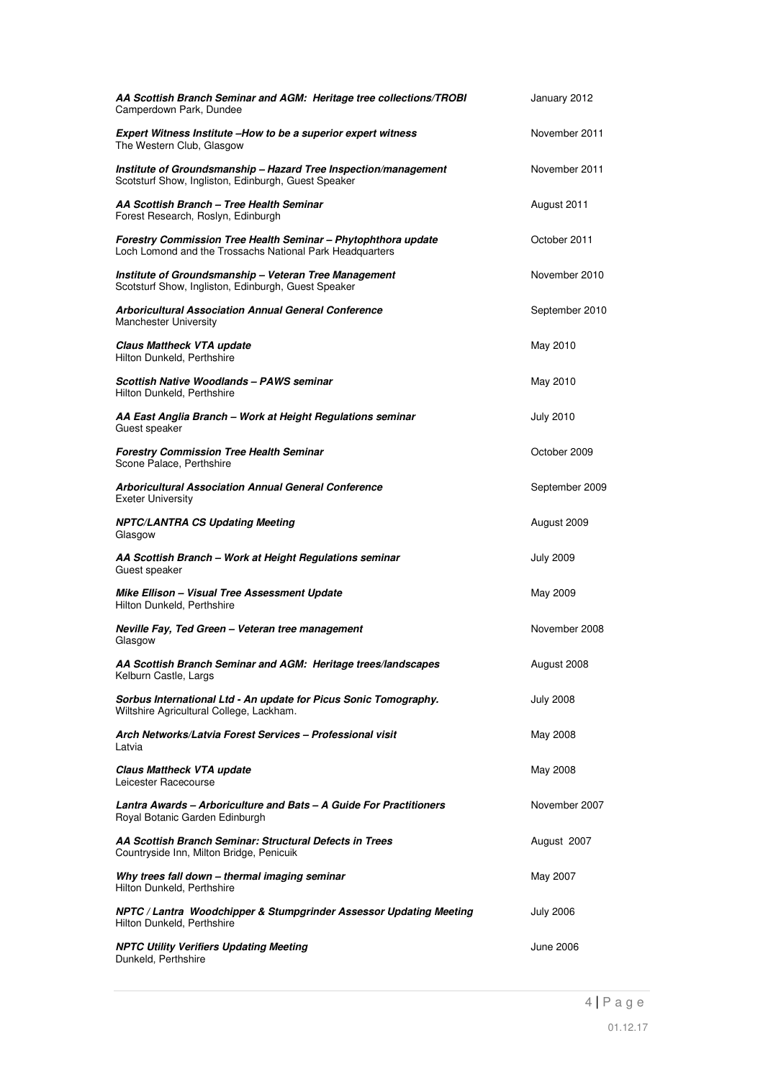| AA Scottish Branch Seminar and AGM: Heritage tree collections/TROBI<br>Camperdown Park, Dundee                            | January 2012     |
|---------------------------------------------------------------------------------------------------------------------------|------------------|
| Expert Witness Institute -How to be a superior expert witness<br>The Western Club, Glasgow                                | November 2011    |
| Institute of Groundsmanship - Hazard Tree Inspection/management<br>Scotsturf Show, Ingliston, Edinburgh, Guest Speaker    | November 2011    |
| AA Scottish Branch - Tree Health Seminar<br>Forest Research, Roslyn, Edinburgh                                            | August 2011      |
| Forestry Commission Tree Health Seminar - Phytophthora update<br>Loch Lomond and the Trossachs National Park Headquarters | October 2011     |
| Institute of Groundsmanship - Veteran Tree Management<br>Scotsturf Show, Ingliston, Edinburgh, Guest Speaker              | November 2010    |
| <b>Arboricultural Association Annual General Conference</b><br><b>Manchester University</b>                               | September 2010   |
| <b>Claus Mattheck VTA update</b><br>Hilton Dunkeld, Perthshire                                                            | May 2010         |
| Scottish Native Woodlands - PAWS seminar<br>Hilton Dunkeld, Perthshire                                                    | May 2010         |
| AA East Anglia Branch - Work at Height Regulations seminar<br>Guest speaker                                               | <b>July 2010</b> |
| <b>Forestry Commission Tree Health Seminar</b><br>Scone Palace, Perthshire                                                | October 2009     |
| Arboricultural Association Annual General Conference<br><b>Exeter University</b>                                          | September 2009   |
| <b>NPTC/LANTRA CS Updating Meeting</b><br>Glasgow                                                                         | August 2009      |
| AA Scottish Branch - Work at Height Regulations seminar<br>Guest speaker                                                  | <b>July 2009</b> |
| Mike Ellison - Visual Tree Assessment Update<br>Hilton Dunkeld, Perthshire                                                | May 2009         |
| Neville Fay, Ted Green - Veteran tree management<br>Glasgow                                                               | November 2008    |
| AA Scottish Branch Seminar and AGM: Heritage trees/landscapes<br>Kelburn Castle, Largs                                    | August 2008      |
| Sorbus International Ltd - An update for Picus Sonic Tomography.<br>Wiltshire Agricultural College, Lackham.              | <b>July 2008</b> |
| Arch Networks/Latvia Forest Services - Professional visit<br>Latvia                                                       | May 2008         |
| Claus Mattheck VTA update<br>Leicester Racecourse                                                                         | May 2008         |
| Lantra Awards – Arboriculture and Bats – A Guide For Practitioners<br>Royal Botanic Garden Edinburgh                      | November 2007    |
| AA Scottish Branch Seminar: Structural Defects in Trees<br>Countryside Inn, Milton Bridge, Penicuik                       | August 2007      |
| Why trees fall down - thermal imaging seminar<br>Hilton Dunkeld, Perthshire                                               | May 2007         |
| NPTC / Lantra Woodchipper & Stumpgrinder Assessor Updating Meeting<br>Hilton Dunkeld, Perthshire                          | <b>July 2006</b> |
| <b>NPTC Utility Verifiers Updating Meeting</b><br>Dunkeld, Perthshire                                                     | June 2006        |